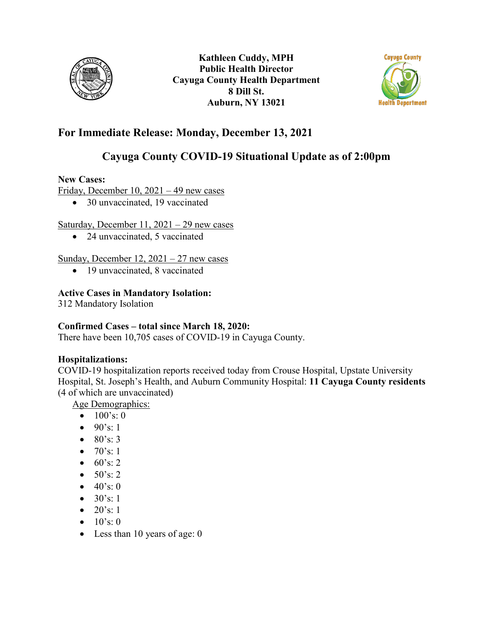



# **For Immediate Release: Monday, December 13, 2021**

# **Cayuga County COVID-19 Situational Update as of 2:00pm**

### **New Cases:**

Friday, December 10, 2021 – 49 new cases

• 30 unvaccinated, 19 vaccinated

### Saturday, December 11, 2021 – 29 new cases

• 24 unvaccinated, 5 vaccinated

## Sunday, December  $12$ ,  $2021 - 27$  new cases

• 19 unvaccinated, 8 vaccinated

# **Active Cases in Mandatory Isolation:**

312 Mandatory Isolation

# **Confirmed Cases – total since March 18, 2020:**

There have been 10,705 cases of COVID-19 in Cayuga County.

# **Hospitalizations:**

COVID-19 hospitalization reports received today from Crouse Hospital, Upstate University Hospital, St. Joseph's Health, and Auburn Community Hospital: **11 Cayuga County residents**  (4 of which are unvaccinated)

Age Demographics:

- $100's: 0$
- $90's: 1$
- $80's: 3$
- $70's: 1$
- $60's: 2$
- $50's: 2$
- $40's:0$
- $30's: 1$
- $20's: 1$
- $10's: 0$
- Less than 10 years of age: 0